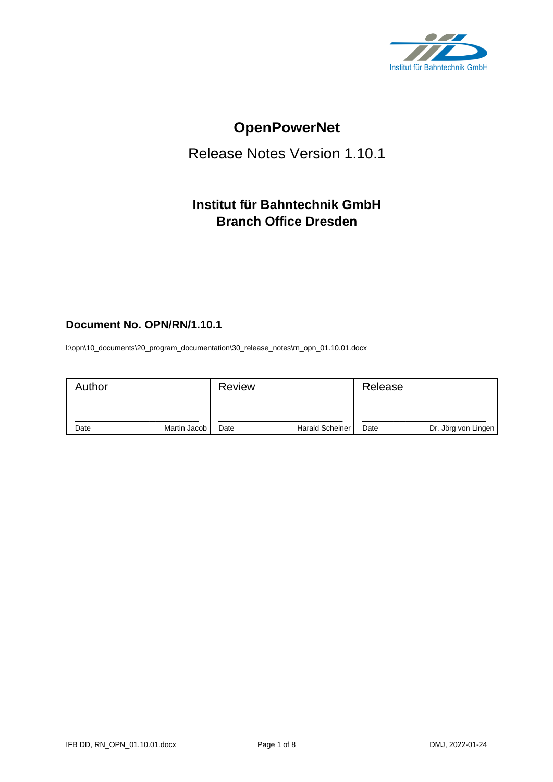

# **OpenPowerNet**

# Release Notes Version 1.10.1

# **Institut für Bahntechnik GmbH Branch Office Dresden**

# **Document No. OPN/RN/1.10.1**

l:\opn\10\_documents\20\_program\_documentation\30\_release\_notes\rn\_opn\_01.10.01.docx

| Author |              | <b>Review</b> |                        | Release |                     |
|--------|--------------|---------------|------------------------|---------|---------------------|
| Date   | Martin Jacob | Date          | <b>Harald Scheiner</b> | Date    | Dr. Jörg von Lingen |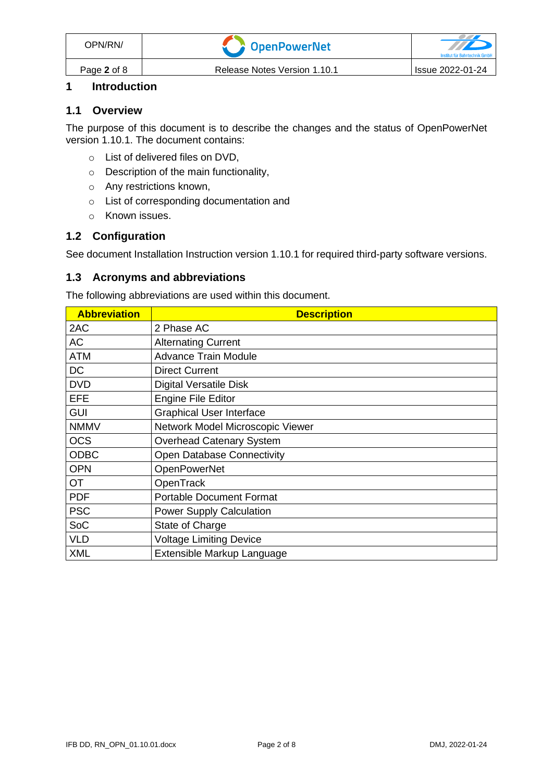| OPN/RN/     | OpenPowerNet                 | Institut für Bahntechnik GmbH |
|-------------|------------------------------|-------------------------------|
| Page 2 of 8 | Release Notes Version 1.10.1 | l Issue 2022-01-24            |

### **1 Introduction**

#### **1.1 Overview**

The purpose of this document is to describe the changes and the status of OpenPowerNet version 1.10.1. The document contains:

- o List of delivered files on DVD,
- o Description of the main functionality,
- o Any restrictions known,
- o List of corresponding documentation and
- o Known issues.

#### **1.2 Configuration**

See document Installation Instruction version 1.10.1 for required third-party software versions.

#### **1.3 Acronyms and abbreviations**

The following abbreviations are used within this document.

| <b>Abbreviation</b> | <b>Description</b>                |
|---------------------|-----------------------------------|
| 2AC                 | 2 Phase AC                        |
| AC                  | <b>Alternating Current</b>        |
| <b>ATM</b>          | <b>Advance Train Module</b>       |
| <b>DC</b>           | <b>Direct Current</b>             |
| <b>DVD</b>          | <b>Digital Versatile Disk</b>     |
| <b>EFE</b>          | <b>Engine File Editor</b>         |
| <b>GUI</b>          | <b>Graphical User Interface</b>   |
| <b>NMMV</b>         | Network Model Microscopic Viewer  |
| <b>OCS</b>          | Overhead Catenary System          |
| <b>ODBC</b>         | <b>Open Database Connectivity</b> |
| <b>OPN</b>          | <b>OpenPowerNet</b>               |
| <b>OT</b>           | OpenTrack                         |
| <b>PDF</b>          | <b>Portable Document Format</b>   |
| <b>PSC</b>          | <b>Power Supply Calculation</b>   |
| SoC                 | State of Charge                   |
| <b>VLD</b>          | <b>Voltage Limiting Device</b>    |
| <b>XML</b>          | Extensible Markup Language        |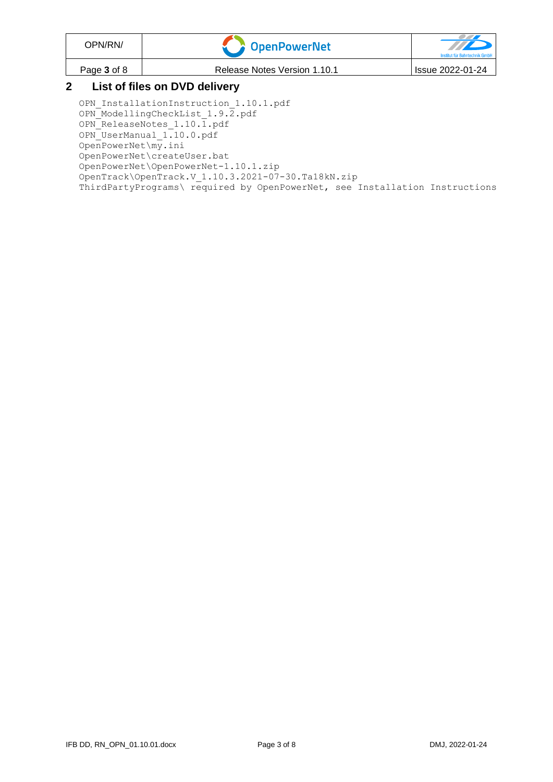| OPN/RN/                       | <b>T</b> OpenPowerNet        | Institut für Bahntechnik GmbH |  |
|-------------------------------|------------------------------|-------------------------------|--|
| Page 3 of 8                   | Release Notes Version 1.10.1 | Issue 2022-01-24              |  |
| Liet of files an DVD delivery |                              |                               |  |

#### **2 List of files on DVD delivery**

OPN InstallationInstruction 1.10.1.pdf OPN ModellingCheckList 1.9.2.pdf OPN ReleaseNotes 1.10.1.pdf OPN\_UserManual\_1.10.0.pdf OpenPowerNet\my.ini OpenPowerNet\createUser.bat OpenPowerNet\OpenPowerNet-1.10.1.zip OpenTrack\OpenTrack.V\_1.10.3.2021-07-30.Ta18kN.zip ThirdPartyPrograms\ required by OpenPowerNet, see Installation Instructions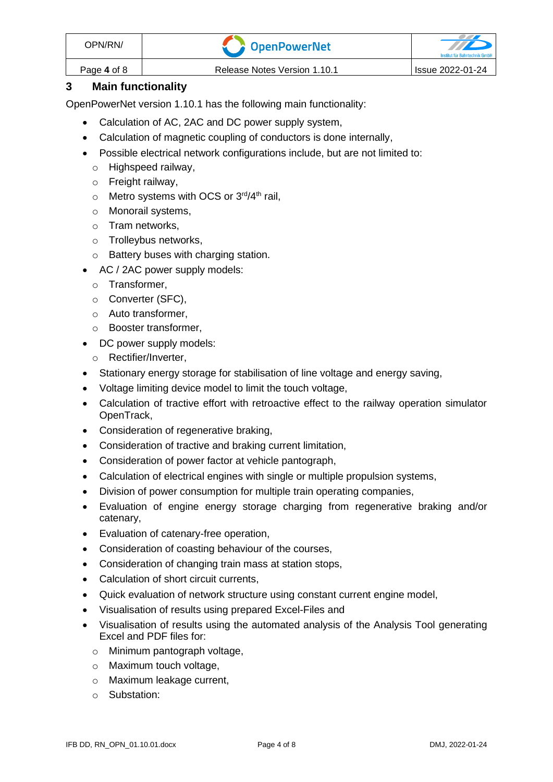| OPN/RN/     | <b>A</b> OpenPowerNet        |                  |
|-------------|------------------------------|------------------|
| Page 4 of 8 | Release Notes Version 1.10.1 | Issue 2022-01-24 |

## **3 Main functionality**

OpenPowerNet version 1.10.1 has the following main functionality:

- Calculation of AC, 2AC and DC power supply system,
- Calculation of magnetic coupling of conductors is done internally,
- Possible electrical network configurations include, but are not limited to:
	- o Highspeed railway,
	- o Freight railway,
	- $\circ$  Metro systems with OCS or 3<sup>rd</sup>/4<sup>th</sup> rail,
	- o Monorail systems,
	- o Tram networks,
	- o Trolleybus networks,
	- o Battery buses with charging station.
- AC / 2AC power supply models:
	- o Transformer,
	- o Converter (SFC),
	- o Auto transformer,
	- o Booster transformer,
- DC power supply models:
	- o Rectifier/Inverter,
- Stationary energy storage for stabilisation of line voltage and energy saving,
- Voltage limiting device model to limit the touch voltage,
- Calculation of tractive effort with retroactive effect to the railway operation simulator OpenTrack,
- Consideration of regenerative braking,
- Consideration of tractive and braking current limitation,
- Consideration of power factor at vehicle pantograph,
- Calculation of electrical engines with single or multiple propulsion systems,
- Division of power consumption for multiple train operating companies,
- Evaluation of engine energy storage charging from regenerative braking and/or catenary,
- Evaluation of catenary-free operation,
- Consideration of coasting behaviour of the courses,
- Consideration of changing train mass at station stops,
- Calculation of short circuit currents,
- Quick evaluation of network structure using constant current engine model,
- Visualisation of results using prepared Excel-Files and
- Visualisation of results using the automated analysis of the Analysis Tool generating Excel and PDF files for:
	- o Minimum pantograph voltage,
	- o Maximum touch voltage,
	- o Maximum leakage current,
	- o Substation: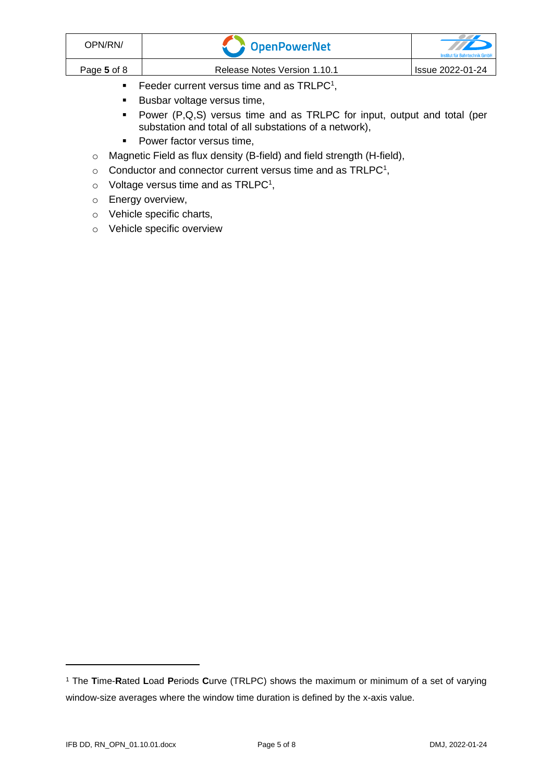| OPN/RN/     | OpenPowerNet                                           | TTD<br>Institut für Bahntechnik GmbH |
|-------------|--------------------------------------------------------|--------------------------------------|
| Page 5 of 8 | Release Notes Version 1.10.1                           | Issue 2022-01-24                     |
|             | Feeder current versus time and as TRLPC <sup>1</sup> , |                                      |

- <span id="page-4-0"></span>■ Busbar voltage versus time,
- Power (P,Q,S) versus time and as TRLPC for input, output and total (per substation and total of all substations of a network),
- Power factor versus time,
- o Magnetic Field as flux density (B-field) and field strength (H-field),
- $\circ$  [C](#page-4-0)onductor and connector current versus time and as TRLPC<sup>1</sup>,
- $\circ$  Voltage versus time and as TRLPC<sup>[1](#page-4-0)</sup>,
- o Energy overview,
- o Vehicle specific charts,
- o Vehicle specific overview

<sup>1</sup> The **T**ime-**R**ated **L**oad **P**eriods **C**urve (TRLPC) shows the maximum or minimum of a set of varying window-size averages where the window time duration is defined by the x-axis value.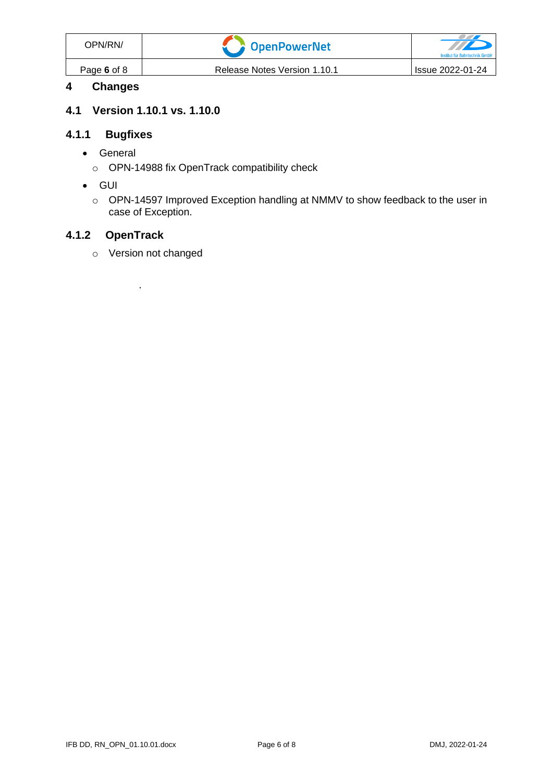| OPN/RN/     | OpenPowerNet                 | $\overline{H}$<br>Institut für Bahntechnik GmbH |
|-------------|------------------------------|-------------------------------------------------|
| Page 6 of 8 | Release Notes Version 1.10.1 | l Issue 2022-01-24                              |

# **4 Changes**

#### **4.1 Version 1.10.1 vs. 1.10.0**

# **4.1.1 Bugfixes**

- General
	- o OPN-14988 fix OpenTrack compatibility check
- GUI
	- o OPN-14597 Improved Exception handling at NMMV to show feedback to the user in case of Exception.

# **4.1.2 OpenTrack**

o Version not changed

.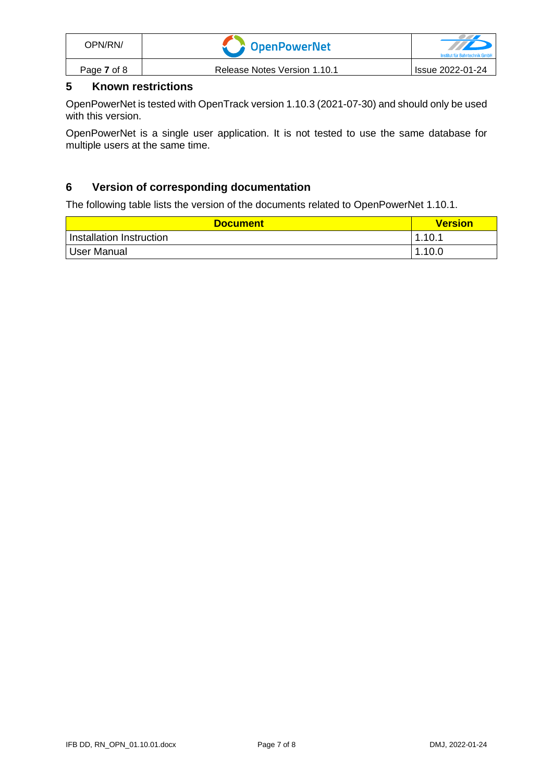| OPN/RN/     | OpenPowerNet                 | Institut für Bahntechnik Gmbl |
|-------------|------------------------------|-------------------------------|
| Page 7 of 8 | Release Notes Version 1.10.1 | <b>Issue 2022-01-24</b>       |

# **5 Known restrictions**

OpenPowerNet is tested with OpenTrack version 1.10.3 (2021-07-30) and should only be used with this version.

OpenPowerNet is a single user application. It is not tested to use the same database for multiple users at the same time.

### **6 Version of corresponding documentation**

The following table lists the version of the documents related to OpenPowerNet 1.10.1.

| <b>Document</b>          | <b>Version</b> |
|--------------------------|----------------|
| Installation Instruction | 1.10.1         |
| <sup>1</sup> User Manual | 1.10.0         |